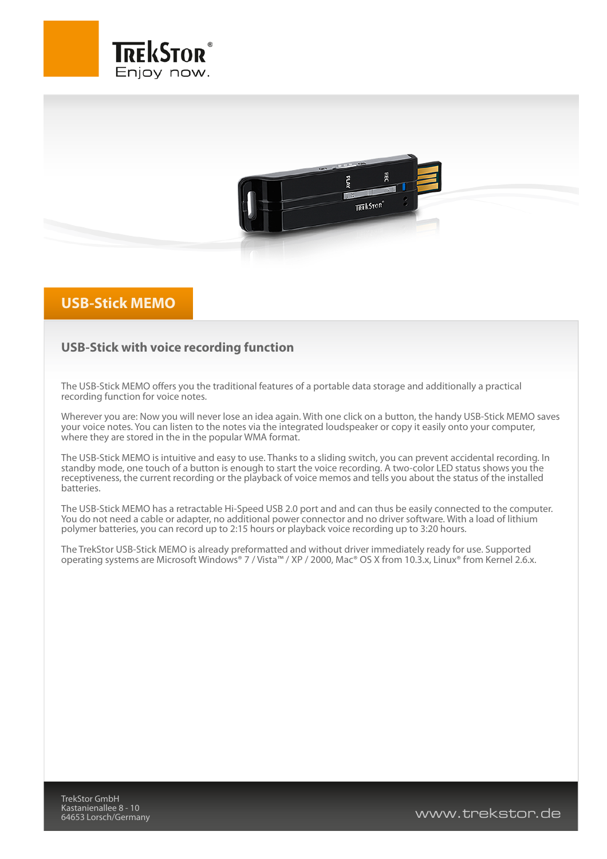



## **USB-Stick MEMO**

## **USB-Stick with voice recording function**

The USB-Stick MEMO offers you the traditional features of a portable data storage and additionally a practical recording function for voice notes.

Wherever you are: Now you will never lose an idea again. With one click on a button, the handy USB-Stick MEMO saves your voice notes. You can listen to the notes via the integrated loudspeaker or copy it easily onto your computer, where they are stored in the in the popular WMA format.

The USB-Stick MEMO is intuitive and easy to use. Thanks to a sliding switch, you can prevent accidental recording. In standby mode, one touch of a button is enough to start the voice recording. A two-color LED status shows you the receptiveness, the current recording or the playback of voice memos and tells you about the status of the installed batteries.

The USB-Stick MEMO has a retractable Hi-Speed USB 2.0 port and and can thus be easily connected to the computer. You do not need a cable or adapter, no additional power connector and no driver software. With a load of lithium polymer batteries, you can record up to 2:15 hours or playback voice recording up to 3:20 hours.

The TrekStor USB-Stick MEMO is already preformatted and without driver immediately ready for use. Supported operating systems are Microsoft Windows® 7 / Vista™ / XP / 2000, Mac® OS X from 10.3.x, Linux® from Kernel 2.6.x.